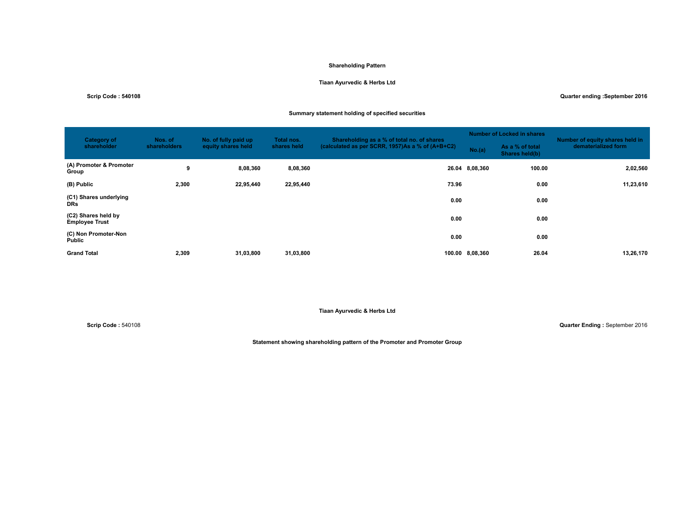## **Shareholding Pattern**

## **Tiaan Ayurvedic & Herbs Ltd**

**Scrip Code : 540108 Quarter ending :September 2016**

# **Summary statement holding of specified securities**

| <b>Category of</b><br>shareholder            | Nos. of<br>shareholders | No. of fully paid up<br>equity shares held | Total nos.<br>shares held | Shareholding as a % of total no. of shares       |                 | <b>Number of Locked in shares</b> | Number of equity shares held in |
|----------------------------------------------|-------------------------|--------------------------------------------|---------------------------|--------------------------------------------------|-----------------|-----------------------------------|---------------------------------|
|                                              |                         |                                            |                           | (calculated as per SCRR, 1957)As a % of (A+B+C2) | No.(a)          | As a % of total<br>Shares held(b) | dematerialized form             |
| (A) Promoter & Promoter<br>Group             | 9                       | 8,08,360                                   | 8,08,360                  |                                                  | 26.04 8,08,360  | 100.00                            | 2,02,560                        |
| (B) Public                                   | 2,300                   | 22,95,440                                  | 22,95,440                 | 73.96                                            |                 | 0.00                              | 11,23,610                       |
| (C1) Shares underlying<br><b>DRs</b>         |                         |                                            |                           | 0.00                                             |                 | 0.00                              |                                 |
| (C2) Shares held by<br><b>Employee Trust</b> |                         |                                            |                           | 0.00                                             |                 | 0.00                              |                                 |
| (C) Non Promoter-Non<br>Public               |                         |                                            |                           | 0.00                                             |                 | 0.00                              |                                 |
| <b>Grand Total</b>                           | 2,309                   | 31,03,800                                  | 31,03,800                 |                                                  | 100.00 8,08,360 | 26.04                             | 13,26,170                       |

**Tiaan Ayurvedic & Herbs Ltd**

**Scrip Code :** 540108 **Quarter Ending :** September 2016

**Statement showing shareholding pattern of the Promoter and Promoter Group**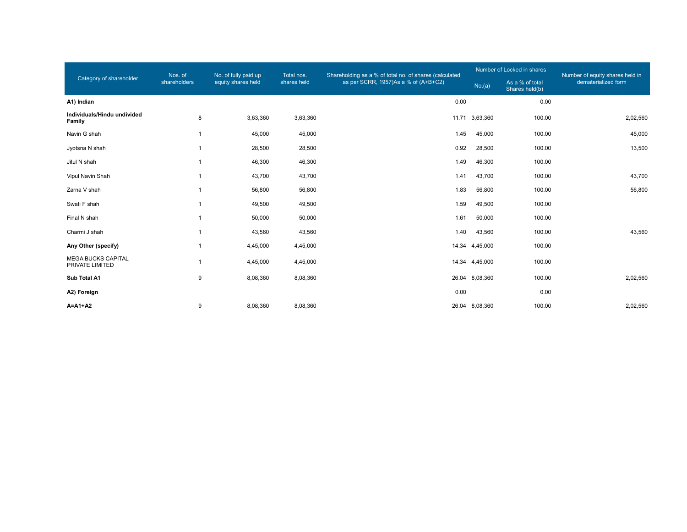|                                              | Nos. of                  | No. of fully paid up | Total nos.  | Shareholding as a % of total no. of shares (calculated |                | Number of Locked in shares        | Number of equity shares held in |  |
|----------------------------------------------|--------------------------|----------------------|-------------|--------------------------------------------------------|----------------|-----------------------------------|---------------------------------|--|
| Category of shareholder                      | shareholders             | equity shares held   | shares held | as per SCRR, 1957)As a % of (A+B+C2)                   | No.(a)         | As a % of total<br>Shares held(b) | dematerialized form             |  |
| A1) Indian                                   |                          |                      |             | 0.00                                                   |                | 0.00                              |                                 |  |
| Individuals/Hindu undivided<br>Family        | 8                        | 3,63,360             | 3,63,360    |                                                        | 11.71 3,63,360 | 100.00                            | 2,02,560                        |  |
| Navin G shah                                 | $\mathbf{1}$             | 45,000               | 45,000      | 1.45                                                   | 45,000         | 100.00                            | 45,000                          |  |
| Jyotsna N shah                               | $\mathbf{1}$             | 28,500               | 28,500      | 0.92                                                   | 28,500         | 100.00                            | 13,500                          |  |
| Jitul N shah                                 | $\overline{\phantom{a}}$ | 46,300               | 46,300      | 1.49                                                   | 46,300         | 100.00                            |                                 |  |
| Vipul Navin Shah                             | $\overline{\phantom{a}}$ | 43,700               | 43,700      | 1.41                                                   | 43,700         | 100.00                            | 43,700                          |  |
| Zarna V shah                                 | $\mathbf{1}$             | 56,800               | 56,800      | 1.83                                                   | 56,800         | 100.00                            | 56,800                          |  |
| Swati F shah                                 | $\overline{1}$           | 49,500               | 49,500      | 1.59                                                   | 49,500         | 100.00                            |                                 |  |
| Final N shah                                 | $\overline{\phantom{a}}$ | 50,000               | 50,000      | 1.61                                                   | 50,000         | 100.00                            |                                 |  |
| Charmi J shah                                | $\overline{\phantom{a}}$ | 43,560               | 43,560      | 1.40                                                   | 43,560         | 100.00                            | 43,560                          |  |
| Any Other (specify)                          | $\mathbf{1}$             | 4,45,000             | 4,45,000    |                                                        | 14.34 4,45,000 | 100.00                            |                                 |  |
| <b>MEGA BUCKS CAPITAL</b><br>PRIVATE LIMITED | $\mathbf{1}$             | 4,45,000             | 4,45,000    |                                                        | 14.34 4,45,000 | 100.00                            |                                 |  |
| Sub Total A1                                 | 9                        | 8,08,360             | 8,08,360    |                                                        | 26.04 8,08,360 | 100.00                            | 2,02,560                        |  |
| A2) Foreign                                  |                          |                      |             | 0.00                                                   |                | 0.00                              |                                 |  |
| $A = A1 + A2$                                | 9                        | 8,08,360             | 8,08,360    |                                                        | 26.04 8,08,360 | 100.00                            | 2,02,560                        |  |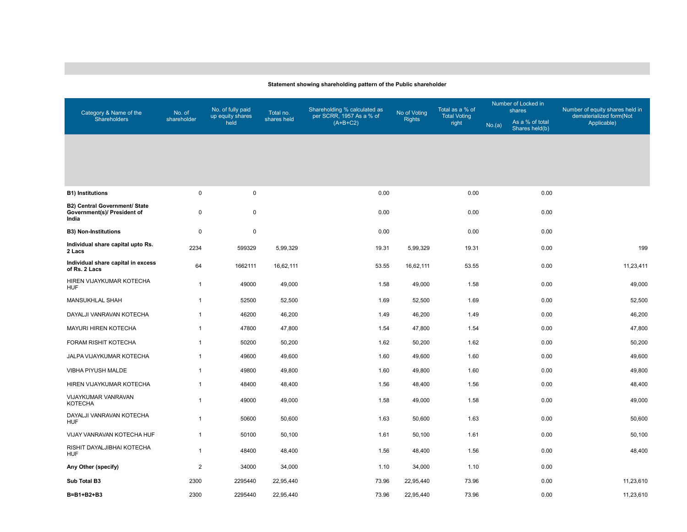## **Statement showing shareholding pattern of the Public shareholder**

| Category & Name of the                                                | No. of       | No. of fully paid        | Total no.   | Shareholding % calculated as           | No of Voting  | Total as a % of              | Number of Locked in<br>shares |                                   | Number of equity shares held in        |  |
|-----------------------------------------------------------------------|--------------|--------------------------|-------------|----------------------------------------|---------------|------------------------------|-------------------------------|-----------------------------------|----------------------------------------|--|
| Shareholders                                                          | shareholder  | up equity shares<br>held | shares held | per SCRR, 1957 As a % of<br>$(A+B+C2)$ | <b>Rights</b> | <b>Total Voting</b><br>right | No.(a)                        | As a % of total<br>Shares held(b) | dematerialized form(Not<br>Applicable) |  |
|                                                                       |              |                          |             |                                        |               |                              |                               |                                   |                                        |  |
|                                                                       |              |                          |             |                                        |               |                              |                               |                                   |                                        |  |
|                                                                       |              |                          |             |                                        |               |                              |                               |                                   |                                        |  |
| <b>B1) Institutions</b>                                               | 0            | $\mathsf{O}\xspace$      |             | 0.00                                   |               | 0.00                         |                               | 0.00                              |                                        |  |
| B2) Central Government/ State<br>Government(s)/ President of<br>India | 0            | $\mathbf 0$              |             | 0.00                                   |               | 0.00                         |                               | 0.00                              |                                        |  |
| <b>B3) Non-Institutions</b>                                           | 0            | $\pmb{0}$                |             | 0.00                                   |               | 0.00                         |                               | 0.00                              |                                        |  |
| Individual share capital upto Rs.<br>2 Lacs                           | 2234         | 599329                   | 5,99,329    | 19.31                                  | 5,99,329      | 19.31                        |                               | 0.00                              | 199                                    |  |
| Individual share capital in excess<br>of Rs. 2 Lacs                   | 64           | 1662111                  | 16,62,111   | 53.55                                  | 16,62,111     | 53.55                        |                               | 0.00                              | 11,23,411                              |  |
| HIREN VIJAYKUMAR KOTECHA<br><b>HUF</b>                                | $\mathbf{1}$ | 49000                    | 49,000      | 1.58                                   | 49,000        | 1.58                         |                               | 0.00                              | 49,000                                 |  |
| MANSUKHLAL SHAH                                                       | $\mathbf{1}$ | 52500                    | 52,500      | 1.69                                   | 52,500        | 1.69                         |                               | 0.00                              | 52,500                                 |  |
| DAYALJI VANRAVAN KOTECHA                                              | $\mathbf{1}$ | 46200                    | 46,200      | 1.49                                   | 46,200        | 1.49                         |                               | 0.00                              | 46,200                                 |  |
| MAYURI HIREN KOTECHA                                                  | $\mathbf{1}$ | 47800                    | 47,800      | 1.54                                   | 47,800        | 1.54                         |                               | 0.00                              | 47,800                                 |  |
| FORAM RISHIT KOTECHA                                                  | $\mathbf{1}$ | 50200                    | 50,200      | 1.62                                   | 50,200        | 1.62                         |                               | 0.00                              | 50,200                                 |  |
| JALPA VIJAYKUMAR KOTECHA                                              | $\mathbf{1}$ | 49600                    | 49,600      | 1.60                                   | 49,600        | 1.60                         |                               | 0.00                              | 49,600                                 |  |
| VIBHA PIYUSH MALDE                                                    | $\mathbf{1}$ | 49800                    | 49,800      | 1.60                                   | 49,800        | 1.60                         |                               | 0.00                              | 49,800                                 |  |
| HIREN VIJAYKUMAR KOTECHA                                              | $\mathbf{1}$ | 48400                    | 48,400      | 1.56                                   | 48,400        | 1.56                         |                               | 0.00                              | 48,400                                 |  |
| VIJAYKUMAR VANRAVAN<br><b>KOTECHA</b>                                 | $\mathbf{1}$ | 49000                    | 49,000      | 1.58                                   | 49,000        | 1.58                         |                               | 0.00                              | 49,000                                 |  |
| DAYALJI VANRAVAN KOTECHA<br><b>HUF</b>                                | $\mathbf{1}$ | 50600                    | 50,600      | 1.63                                   | 50,600        | 1.63                         |                               | 0.00                              | 50,600                                 |  |
| VIJAY VANRAVAN KOTECHA HUF                                            | $\mathbf{1}$ | 50100                    | 50,100      | 1.61                                   | 50,100        | 1.61                         |                               | 0.00                              | 50,100                                 |  |
| RISHIT DAYALJIBHAI KOTECHA<br><b>HUF</b>                              | $\mathbf{1}$ | 48400                    | 48,400      | 1.56                                   | 48,400        | 1.56                         |                               | 0.00                              | 48,400                                 |  |
| Any Other (specify)                                                   | $\mathbf 2$  | 34000                    | 34,000      | 1.10                                   | 34,000        | 1.10                         |                               | 0.00                              |                                        |  |
| Sub Total B3                                                          | 2300         | 2295440                  | 22,95,440   | 73.96                                  | 22,95,440     | 73.96                        |                               | 0.00                              | 11,23,610                              |  |
| B=B1+B2+B3                                                            | 2300         | 2295440                  | 22,95,440   | 73.96                                  | 22,95,440     | 73.96                        |                               | 0.00                              | 11,23,610                              |  |